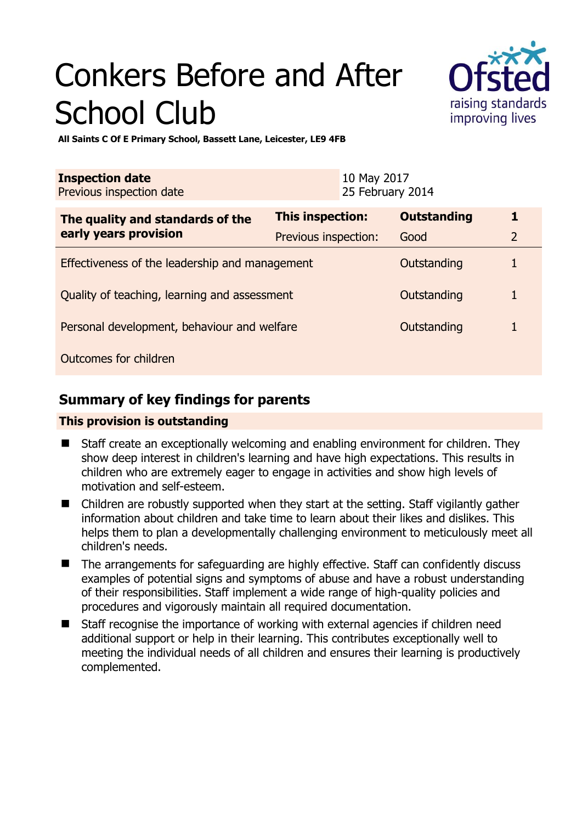# Conkers Before and After School Club



**All Saints C Of E Primary School, Bassett Lane, Leicester, LE9 4FB** 

| <b>Inspection date</b><br>Previous inspection date        |                      | 10 May 2017<br>25 February 2014 |                    |                |
|-----------------------------------------------------------|----------------------|---------------------------------|--------------------|----------------|
| The quality and standards of the<br>early years provision | This inspection:     |                                 | <b>Outstanding</b> |                |
|                                                           | Previous inspection: |                                 | Good               | $\overline{2}$ |
| Effectiveness of the leadership and management            |                      |                                 | Outstanding        |                |
| Quality of teaching, learning and assessment              |                      |                                 | Outstanding        |                |
| Personal development, behaviour and welfare               |                      |                                 | Outstanding        |                |
| Outcomes for children                                     |                      |                                 |                    |                |

# **Summary of key findings for parents**

## **This provision is outstanding**

- Staff create an exceptionally welcoming and enabling environment for children. They show deep interest in children's learning and have high expectations. This results in children who are extremely eager to engage in activities and show high levels of motivation and self-esteem.
- Children are robustly supported when they start at the setting. Staff vigilantly gather information about children and take time to learn about their likes and dislikes. This helps them to plan a developmentally challenging environment to meticulously meet all children's needs.
- The arrangements for safeguarding are highly effective. Staff can confidently discuss examples of potential signs and symptoms of abuse and have a robust understanding of their responsibilities. Staff implement a wide range of high-quality policies and procedures and vigorously maintain all required documentation.
- Staff recognise the importance of working with external agencies if children need additional support or help in their learning. This contributes exceptionally well to meeting the individual needs of all children and ensures their learning is productively complemented.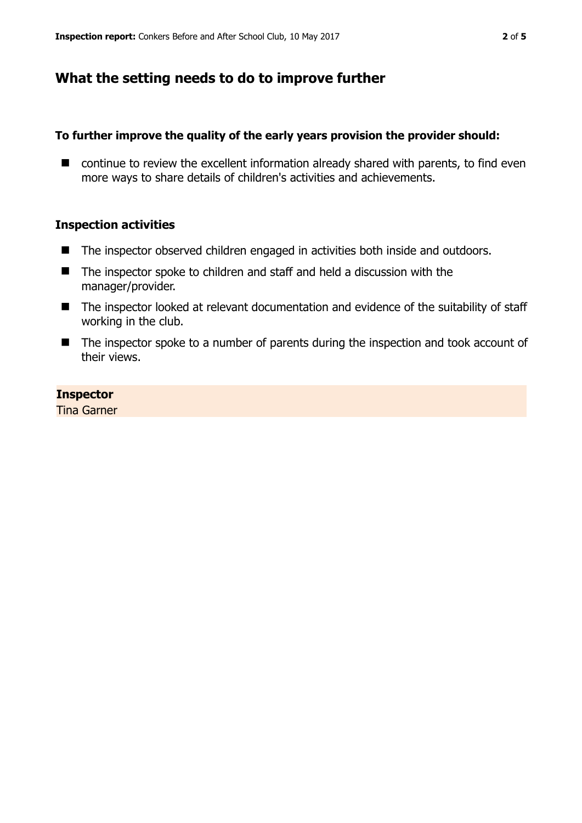## **What the setting needs to do to improve further**

#### **To further improve the quality of the early years provision the provider should:**

■ continue to review the excellent information already shared with parents, to find even more ways to share details of children's activities and achievements.

#### **Inspection activities**

- The inspector observed children engaged in activities both inside and outdoors.
- The inspector spoke to children and staff and held a discussion with the manager/provider.
- The inspector looked at relevant documentation and evidence of the suitability of staff working in the club.
- The inspector spoke to a number of parents during the inspection and took account of their views.

#### **Inspector**

Tina Garner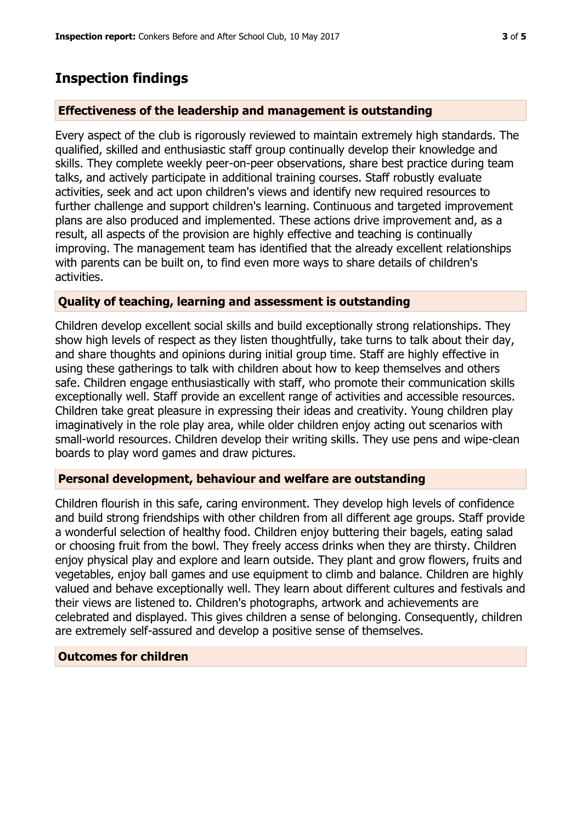# **Inspection findings**

## **Effectiveness of the leadership and management is outstanding**

Every aspect of the club is rigorously reviewed to maintain extremely high standards. The qualified, skilled and enthusiastic staff group continually develop their knowledge and skills. They complete weekly peer-on-peer observations, share best practice during team talks, and actively participate in additional training courses. Staff robustly evaluate activities, seek and act upon children's views and identify new required resources to further challenge and support children's learning. Continuous and targeted improvement plans are also produced and implemented. These actions drive improvement and, as a result, all aspects of the provision are highly effective and teaching is continually improving. The management team has identified that the already excellent relationships with parents can be built on, to find even more ways to share details of children's activities.

## **Quality of teaching, learning and assessment is outstanding**

Children develop excellent social skills and build exceptionally strong relationships. They show high levels of respect as they listen thoughtfully, take turns to talk about their day, and share thoughts and opinions during initial group time. Staff are highly effective in using these gatherings to talk with children about how to keep themselves and others safe. Children engage enthusiastically with staff, who promote their communication skills exceptionally well. Staff provide an excellent range of activities and accessible resources. Children take great pleasure in expressing their ideas and creativity. Young children play imaginatively in the role play area, while older children enjoy acting out scenarios with small-world resources. Children develop their writing skills. They use pens and wipe-clean boards to play word games and draw pictures.

## **Personal development, behaviour and welfare are outstanding**

Children flourish in this safe, caring environment. They develop high levels of confidence and build strong friendships with other children from all different age groups. Staff provide a wonderful selection of healthy food. Children enjoy buttering their bagels, eating salad or choosing fruit from the bowl. They freely access drinks when they are thirsty. Children enjoy physical play and explore and learn outside. They plant and grow flowers, fruits and vegetables, enjoy ball games and use equipment to climb and balance. Children are highly valued and behave exceptionally well. They learn about different cultures and festivals and their views are listened to. Children's photographs, artwork and achievements are celebrated and displayed. This gives children a sense of belonging. Consequently, children are extremely self-assured and develop a positive sense of themselves.

#### **Outcomes for children**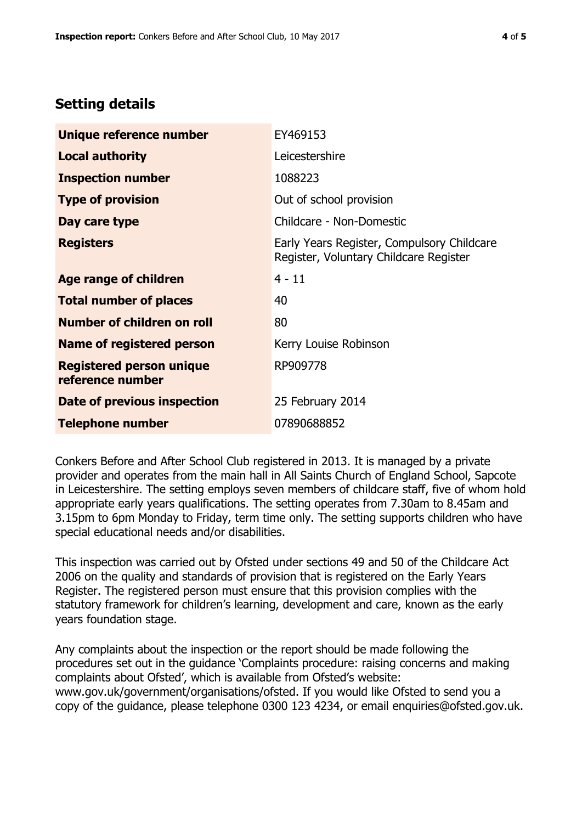# **Setting details**

| Unique reference number                             | EY469153                                                                             |  |
|-----------------------------------------------------|--------------------------------------------------------------------------------------|--|
| <b>Local authority</b>                              | Leicestershire                                                                       |  |
| <b>Inspection number</b>                            | 1088223                                                                              |  |
| <b>Type of provision</b>                            | Out of school provision                                                              |  |
| Day care type                                       | Childcare - Non-Domestic                                                             |  |
| <b>Registers</b>                                    | Early Years Register, Compulsory Childcare<br>Register, Voluntary Childcare Register |  |
| Age range of children                               | $4 - 11$                                                                             |  |
| <b>Total number of places</b>                       | 40                                                                                   |  |
| Number of children on roll                          | 80                                                                                   |  |
| Name of registered person                           | Kerry Louise Robinson                                                                |  |
| <b>Registered person unique</b><br>reference number | RP909778                                                                             |  |
| <b>Date of previous inspection</b>                  | 25 February 2014                                                                     |  |
| Telephone number                                    | 07890688852                                                                          |  |

Conkers Before and After School Club registered in 2013. It is managed by a private provider and operates from the main hall in All Saints Church of England School, Sapcote in Leicestershire. The setting employs seven members of childcare staff, five of whom hold appropriate early years qualifications. The setting operates from 7.30am to 8.45am and 3.15pm to 6pm Monday to Friday, term time only. The setting supports children who have special educational needs and/or disabilities.

This inspection was carried out by Ofsted under sections 49 and 50 of the Childcare Act 2006 on the quality and standards of provision that is registered on the Early Years Register. The registered person must ensure that this provision complies with the statutory framework for children's learning, development and care, known as the early years foundation stage.

Any complaints about the inspection or the report should be made following the procedures set out in the guidance 'Complaints procedure: raising concerns and making complaints about Ofsted', which is available from Ofsted's website: www.gov.uk/government/organisations/ofsted. If you would like Ofsted to send you a copy of the guidance, please telephone 0300 123 4234, or email enquiries@ofsted.gov.uk.